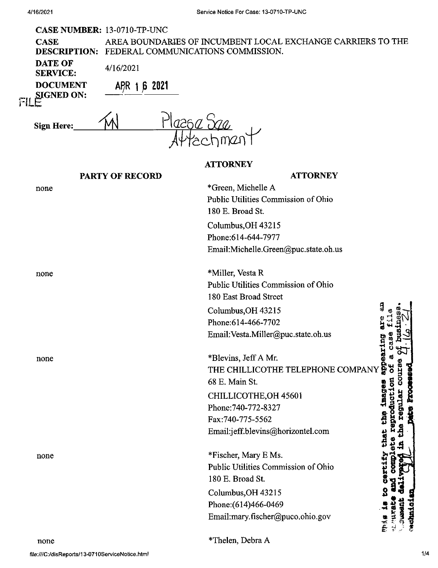#### CASE NUMBER: 13-0710-TP-UNC

| <b>CASE</b> | AREA BOUNDARIES OF INCUMBENT LOCAL EXCHANGE CARRIERS TO THE |
|-------------|-------------------------------------------------------------|
|             | <b>DESCRIPTION: FEDERAL COMMUNICATIONS COMMISSION.</b>      |
| DATE OF     | 1.177000                                                    |

4/16/2021

**DOCUMENT A^R 1JB <sup>2021</sup>**

**F!L SIGNED ON:**

**Sign Here** 

**SERVICE:**

| е: | Plazsa <i>Saa</i> |
|----|-------------------|
|    | Aftechment        |

#### **ATTORNEY**

## **PARTY OF RECORD**

# **ATTORNEY** \*Green, Michelle A none Public Utilities Commission of Ohio 180 E. Broad St. Columbus,OH 43215 Phone:614-644-7977 Email:Michelle.Green@puc.state.oh.us \*Miller, Vesta R none Public Utilities Commission of Ohio 180 East Broad Street Columbus,OH 43215 Phone:614-466-7702 **«** Email:Vesta.Miller@puc.state.oh.us •H**a** 0 <sup>M</sup> \*Blevins, JeffA Mr. none images app THE CHILLICOTHE TELEPHONE COMPANY 68 E. Main St CHILLICOTHE,OH 45601 Phone:740-772-8327 t na Fax:740-775-5562 Email:jeff.blevins@horizontel.com that \*Fischer, Mary E Ms. none Public Utilities Commission of Ohio 180 E. Broad St. Columbus,OH 43215 Phone:(614)466-0469 Email:mary.fischer@puco.ohio.gov

none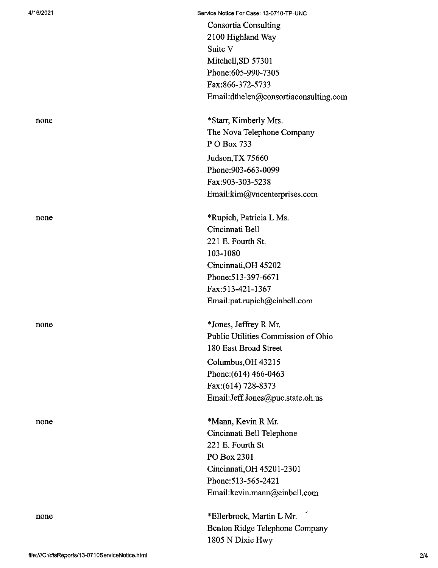none

4/16/2021 Service Notice For Case: 13-0710-TP-UNC

Consortia Consulting 2100 Highland Way Suite V Mitchell,SD 57301 Phone:605-990-7305 Fax:866-372-5733 Email:dthelen@consortiaconsulting.com

none \*Starr, Kimberly Mrs. The Nova Telephone Company P O Box 733 Judson,TX 75660 Phone:903-663-0099 Fax:903-303-5238 Email:kim@vncenterprises.com

none \*Rupich, Patricia L Ms. Cincinnati Bell 221 E. Fourth St. 103-1080 Cincinnati,OH 45202 Phone:513-397-6671 Fax:513-421-1367 Email:pat.rupich@cinbell.com

none \*Jones, Jeffrey R Mr. Public Utilities Commission of Ohio 180 East Broad Street Columbus,OH 43215 Phone:(614) 466-0463 Fax:(614) 728-8373 Email:Jeff.Jones@puc.state.oh.us

none \*Mann, Kevin R Mr. Cincinnati Bell Telephone 221 E. Fourth St PO Box 2301 Cincinnati,OH 45201-2301 Phone:513-565-2421 Email:kevin.mann@cinbell.com

> \*Ellerbrock, Martin L Mr. Benton Ridge Telephone Company 1805 N Dixie Hwy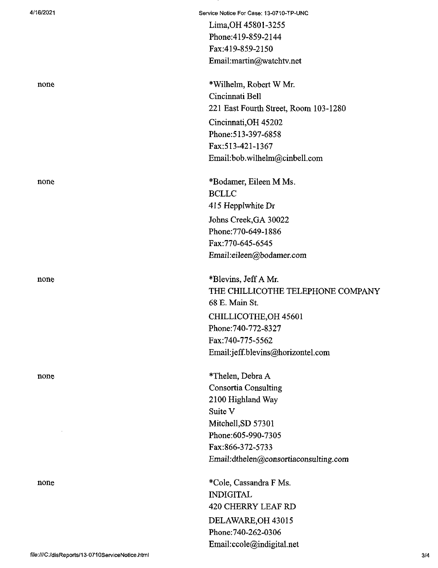| 4/16/2021 | Service Notice For Case: 13-0710-TP-UNC |
|-----------|-----------------------------------------|
|           | Lima, OH 45801-3255                     |
|           | Phone: 419-859-2144                     |
|           | Fax:419-859-2150                        |
|           | Email:martin@watchtv.net                |
| none      | *Wilhelm, Robert W Mr.                  |
|           | Cincinnati Bell                         |
|           | 221 East Fourth Street, Room 103-1280   |
|           | Cincinnati, OH 45202                    |
|           | Phone: 513-397-6858                     |
|           | Fax: 513-421-1367                       |
|           | Email:bob.wilhelm@cinbell.com           |
| none      | *Bodamer, Eileen M Ms.                  |
|           | <b>BCLLC</b>                            |
|           | 415 Hepplwhite Dr                       |
|           | Johns Creek, GA 30022                   |
|           | Phone: 770-649-1886                     |
|           | Fax: 770-645-6545                       |
|           | Email:eileen@bodamer.com                |
| none      | *Blevins, Jeff A Mr.                    |
|           | THE CHILLICOTHE TELEPHONE COMPANY       |
|           | 68 E. Main St.                          |
|           | CHILLICOTHE, OH 45601                   |
|           | Phone: 740-772-8327                     |
|           | Fax:740-775-5562                        |
|           | Email:jeff.blevins@horizontel.com       |
| none      | *Thelen, Debra A                        |
|           | <b>Consortia Consulting</b>             |
|           | 2100 Highland Way                       |
|           | Suite V                                 |
|           | Mitchell, SD 57301                      |
|           | Phone:605-990-7305                      |
|           | Fax:866-372-5733                        |
|           | Email:dthelen@consortiaconsulting.com   |
| none      | *Cole, Cassandra F Ms.                  |
|           | <b>INDIGITAL</b>                        |
|           | 420 CHERRY LEAF RD                      |
|           | DELAWARE, OH 43015                      |
|           | Phone: 740-262-0306                     |
|           | Email:ccole@indigital.net               |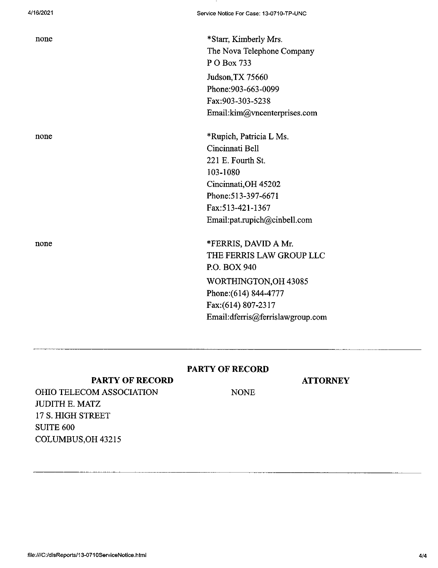none \*Starr, Kimberly Mrs. The Nova Telephone Company P O Box 733 Judson,TX 75660 Phone:903-663-0099 Fax:903-303-5238 Email:kim@vncenterprises.com

none \*Rupich, Patricia L Ms. Cincinnati Bell 221 E. Fourth St. 103-1080 Cincinnati,OH 45202 Phone:513-397-6671 Fax:513-421-1367 Email:pat.rupich@cinbell.com

none \*FERRIS, DAVID A Mr. THE FERRIS LAW GROUP LLC P.O. BOX 940 WORTHINGTON,OH 43085 Phone:(614) 844-4777 Fax:(614) 807-2317 Email:dferris@ferrislawgroup.com

## **PARTY OF RECORD**

# **PARTY OF RECORD**

#### **ATTORNEY**

**NONE** 

OHIO TELECOM ASSOCIATION JUDITH E. MATZ 17 S. HIGH STREET SUITE 600 COLUMBUS,OH 43215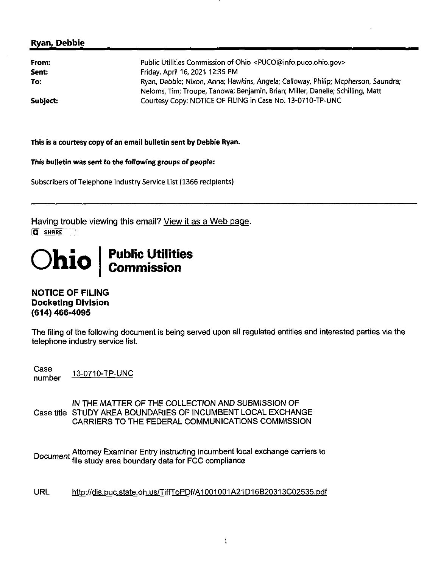## **Ryan, Debbie**

| From:    | Public Utilities Commission of Ohio <puco@info.puco.ohio.gov></puco@info.puco.ohio.gov>                                                                             |
|----------|---------------------------------------------------------------------------------------------------------------------------------------------------------------------|
| Sent:    | Friday, April 16, 2021 12:35 PM                                                                                                                                     |
| To:      | Ryan, Debbie; Nixon, Anna; Hawkins, Angela; Calloway, Philip; Mcpherson, Saundra;<br>Neloms, Tim; Troupe, Tanowa; Benjamin, Brian; Miller, Danelle; Schilling, Matt |
| Subject: | Courtesy Copy: NOTICE OF FILING in Case No. 13-0710-TP-UNC                                                                                                          |

This is a courtesy copy of an email bulletin sent by Debbie Ryan.

This bulletin was sent to the following groups of people:

Subscribers of Telephone Industry Service List (1366 recipients)

Having trouble viewing this email? View it as a Web page. **[O SHRRE**

# **Ohio Public Utilities CoiTunission**

## NOTICE OF FILING Docketing Division (614) 466-4095

The filing of the following document is being served upon all regulated entities and interested parties via the telephone industry service list.

Case<br>number 13-0710-TP-UNC

IN THE MATTER OF THE COLLECTION AND SUBMISSION OF Case title STUDY AREA BOUNDARIES OF INCUMBENT LOCAL EXCHANGE CARRIERS TO THE FEDERAL COMMUNICATIONS COMMISSION

<sub>t</sub> Attorney Examiner Entry instructing incumbent local exchange carriers to  $\overline{\text{o}}$ cumen $\overline{\text{r}}$  file study area boundary data for FCC compliance

URL http://dis.puc.state.oh.us/TiffToPDf/A1001001A21D16B20313C02535.pdf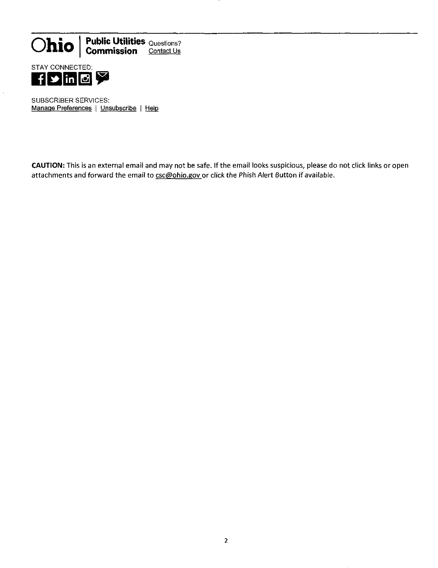

**Commission** Contact Us



SUBSCRIBER SERVICES: Manage Preferences | Unsubscribe | Help

CAUTION: This is an external email and may not be safe. If the email looks suspicious, please do not click links or open attachments and forward the email to csc@ohio.gov or click the Phish Alert Button if available.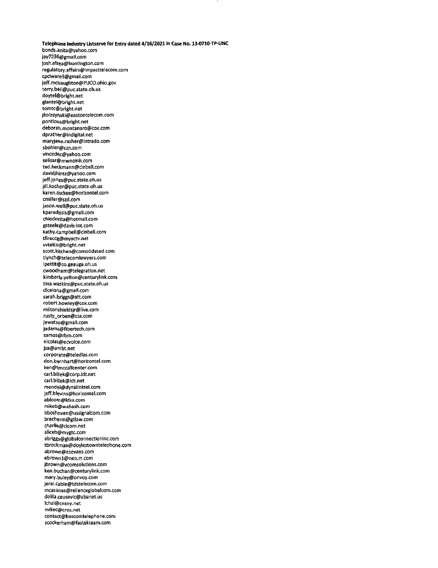**Telephone Industry Listserve for Entry dated 4/16/2021 In Case No. 13-0710-TP-UNC** bonds.anita@yahoo.com /ay7236@gmail.com josh.elsea@huntington.com regulatory.affairs@impacttelecom.com cpciware3@gmail.com jeff.mcnaughton@PUCO.ohio.gov terry.beii@puc.state.oh.us doytel@bright.net glantel@bright.net tomtc@bright.net jkolezynski@eastontelecom.com pontious@bright.net deborah.montanaro@cox.com dprather@indigital.net maryjahe.rasher@intrado.com sbohler@czn.com vincedec@yahoo.com selisar@mwncmh.com ted.heckmann@cinbell.com davidjhintz@yahoo.com ]eff.jones@puc,state.oh.us jill.kocher@puc.state.oh.us karen.mckee@horizontel.com cmiller@szd.com ]ason.well@puc.state.oh.us kparadissis@gmail.com chiodorita@hotmaii.com gsteele@davis-int.com kathy.campbell@cinbeil.com tfireccg@myactv.net wtelco@bright.net scott.kltchen@consolidated.com tlynch@telecomlawyers.com lpettit@co.geauga.oh.us cwoodham@telegration.net kimberiy.yelton@centurytink.com tina.wetkins@puc.state.oh.us dlcelona@gmail.com sarah.briggs@att.com robert.howley@cox.com miltonshieldsjr@live.com rusty\_orben@csx.com jewatso@gmail.com jadams@fibertech.com samos@rbm.com nicoias@ecvoice.com jsa@ambt.net corporate@teledias.com don.barnhart@horizontel.com ken@tmccallcenter.com carl.billek@corp.idt.net cari.biliek@idt.net mendel@dynaiinktel.com ]eff.blevins@horizontel.com abloom@ldxx.com mikeb@wabash.com bboshoven@ussignalcom.com brecherm@gtlaw.com charlie@cicom.net aiiceb@mygtc.com abriggs@globalconnectioninc.com tbrockman@doylestowntelephone.com abrown@esevans.com ebrownl@neo.rr.com jbrown@vcomsolutions.com ken.bijchan@centurylink.com mary.buley@onvoy.com jerel.cable@tdsteIecom.com mcasanas@relianceglobalcom.com delila.causevic@abanet.us lchai@cnsny.net mikec@cros.net contact@bascomtelephone.com scockerham@fastekteam.com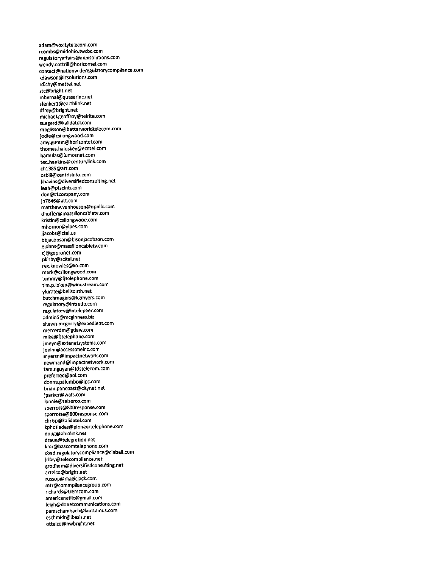adam@voxitytetecom.com rcombs@midohio.twcbc.com regulatoryaffairs@anpisolutions.com wendy.cottriil@horizontel.com contact@nationwideregulatorycompliance.com kdawson@icsolutions.com rdichy@mettel.net stc@bright.net mbernal@quasarinc.net sfenkerl@earthlink.net dfrey@bright.net michaei.geoffroy@telrite.com suegerd@kaiidatel.com mbgiisson@betterworldtelecom.com iodie@csilongwood.com amy.gumm@horizontel.com thomas.haluskey@ecntel.com hamulas@Iumosnet.com ted.hankins@centurylink.com chl385@att.com osbill@centrisinfo.com khavins@diversifiedconsuiting.net ieah@ptscinti.com don@tlcompany.com jh7646@att.com matthew.vanhoesen@upnllc.com dhoffer@massilloncabletv.com kristin@csilongwood.com mhornor@yipes.com jjacobs@ctel.us bbjacobson@bisonjacobson.com giohns@massilloncabletv.com cj@gopronet.com pkirby@scitel.net rex,knowles@xo.com mark@csilongwood.com tammy@fitelephone.com tim.p.loken@windstream.com yIurate@bellsouth.net butchmagers@kgmyers.com regulatory@intrado.com reguiatory@intelepeer.com admin5@mcginness.biz shawn.mcgorry@expedient.com mercerdm@gtiaw.com mike@fjtelephone.com jmeyn@extenetsystems.com joelm@accessoneinc.com myersn@impactnetwork.com newmand@impactnetwork.com tam.nguyen@tdstelecom.com preferred@aol.com donna.palumbo@ipc.com brian.pancoast@citynet.net jparker@wafs.com lonnie@telserco.com sperrott@800response.com sperrotte@800response.com chrisp@kalidatel.com kphotiades@pioneertelephone.com doug@ohiolink.net draue@telegration.net kmr@bascomtelephone.com cbad.reguiatorycompliance@cinbeli.com iriley@telecompliance.net grodham@diversifiedconsulting.net artelco@bright.net russop@magicjack.com mtr@commpliancegroup.com richards@tremcom.com americanetllc@gmail.com leigh@donetcommunications.com pamschambach@lauttamus.com eschmidt@ibasis.net ottelco@nwbright.net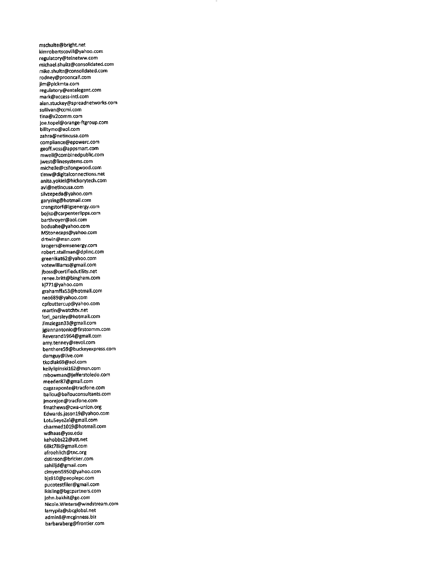mschulte@bright.net kimrobertscovill@yahoo.com regulatory@telnetww.com michael.shultz@consolidated.com mike.shultz@consoiidated.com rodney@prooncali.com jim@pickmta.com regulatory@entelegent.com mark@access-intl.com alan.stuckey@spreadnetworks.com suliivan@ccmi.com tina@x2comm.com joe.topel@orange-ftgroup.com billtymo@aol.com<br>zahra@netincusa.com zahra@netincusa.com compliance@epowerc.com geoff.voss@appsmart.com mweil@comblnedpub1ic.com jwest@1inesystems.com michelle@csi1ongwood.com timw@digita1connections.net anita.yokiei@hickorytech.com avi@netincusa.com silvzepeda@yahoo.com garyzing@hotmail.com crengstorf@igsenergy.com bojko@carpenterlipps.com barthroyer@aol.com boduahe@yahoo.com MStonecaps@yahoo.com drtwin@msn.com krogers@emsenergy.com robert.stallman@dplinc.com greenikat62@yahoo.com votewiliiams@gmail.com jboss@certifiedutility.net renee.britt@bingham.com kj771@yahoo.com grahamffa53@hotmail.com neo689@yahoo.com cpfbuttercup@yahoo.com martin@watchtv.net 1ori\_parsley@hotmail.com Jimziegan33@gmail.com jgiannantonio@firstcomm.com Reverandl964@gmail.com amy.tenney@revol.com benthere59@buckeyexpress.com damguy@live.com tkodiak69@aol.com kellylipinskil62@msn.com mbowman@jefferstoledo.com meeder87@gmai1.com cugazaponte@tracfone.com bal1ou@bal1ouconsu1tants.com jmorejon@tracfone.com fmathews@cwa-union.org Edwards.jasonl9@yahoo.com Lotu5eyeZel@gmail.com charmedl019@hotmail.com wdhaas@ysu.edu kehobbs22@att.net 68kt78i@gmail.com afroehlich@tnc.org dstinson@bricker.com sahilljd@gmail.com clmyers5950@yahoo.com bjs9lO@peoplepc.com pucotestfiler@gmail.com lkisling@bgcpartners.com john.bakhit@ge.com Nico1e.Winters@windstream.com larrypilz@sbcglobal.net admin8@mcginness.biz barbaraberg@frontier.com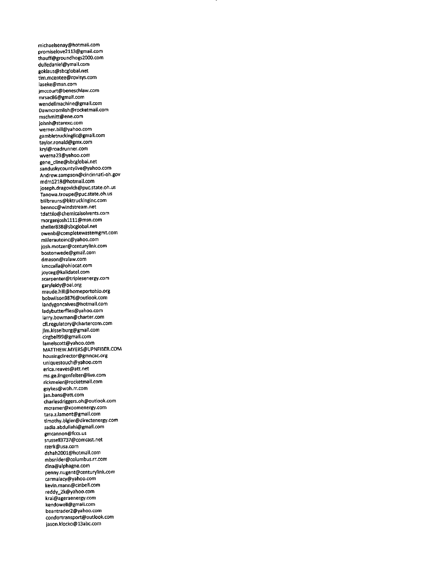michaelsenay@hotmail.com promiselove2ll3@gmail.com thauff@groundhogs2000.com dulledaniel@ymall.com goklaus@sbcglobal.net tim.mcentee@rovisys.com laseke@msn.com jmccourt@beneschlaw.com mrsac86@gmail.com wendellmachine@gmail.com Dawncromlish@rocketmail.com mschmltt@ene.com johnh@starexc.com werner.bill@yahoo.com gambletruckingllc@gmail.com taylor.ronald@gmx.com kryl@roadrunner.com wverna23@yahoo.com gene\_cline@sbcglobal.net sanduskycountylive@yahoo.com Andrew.sampson@cincinnati-oh.gov mdml218@hotmail.com joseph.dragovich@puc.state,oh.us Tanowa.troupe@puc.state.oh.us billbrauns@bktruckinginc.com bennoc@windstream.net tdattilo@chemicalsolvents.com morganjoshllll@msn.com sheller838@sbcglobal.net owenb@completewastemgmt.com millerautoinc@yahoo.com josh.motzer@centurylink.com bostonwede@gmail.com dmason@ralaw.com kmccalla@ohiocat.com joyceg@kalidatel.com scarpenter@triplesenergy.com garyleidy@oai.org maude.hill@homeportohio.org bobwilson9876@outlook.com landygoncalves@hotmail.com ladybutterflies@yahoo.com larry.bowman@charter.com cfl.regulatory@chartercom.com jim.kisselburg@gmail.com clrgbell99@gmail.com lamelscott@yahoo.com MATTHEW.MYERS@UPNFIBER.COM housingdirector@gmncac.org uniquestouch@yahoo.com erica.reaves@att.net ms.ge.lingenfelter@live.com rickmeier@rocketmail.com gsykes@woh.rr.com jan.bans@att.com charlesdriggers.oh@outlook.com mcramer@xoomenergy.com tara.z.lamont@gmail.com timothy.bigler@directenergy.com sadia.abduilahi@gmail.com gmcannon@fccs.us srussell3737@comcast.net rzerk@usa.com dshah2001@hotmall.com mbsnlder@columbus.rr.com dina@alphagne.com penny.nugent@centurylink.com carmalacy@yahoo.com kevin.mann@cinbell.com reddy\_2k@yahoo.com krai@ageraenergy.com kendowell@gmaii.com beantrader2@yahoo.com condortransport@outlook.com jason.kiocko@13abc.com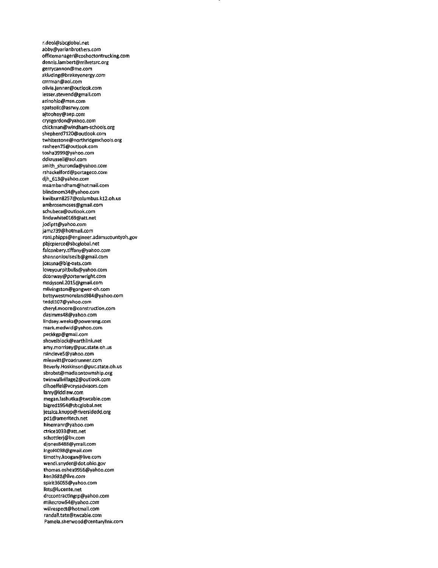r.deol@sbcglobal.net abby@yarianbrothers.com officemanager@coshoctontrucking.com dennis.iambert@milvetsrc.org gerrvcannon@me.com \$kluding@brakeyenergy.com crrrman@aol.com olivia.jenner@outlook.com lesser.stevend@gmail.com azinohio@msn.com spatsolic@asrwy.com ajtoohey@aep.com crysgordon@yahoo.com chickman@windham-schools.org shepherd7120@outiook.com twhitestone@northridgeschools.org rasheen75@outiook.com tosha3999@yahoo.com ddkrussell@aol.com smith\_shuronda@yahoo.com rshackelford@portageco.com djh\_613@yahoo.com msambandham@hotmaii.com blindmom34@yahoo.com kwilburn8257@columbus.kl2.oh.us ambrosemoses@gmail.com schubeca@outlook.com Iindawhite0169@att.net jodiptt@yahoo.com jamz739@hotmail.com roni.phipps@engineer.adamscountyoh.gov pbjcpierce@sbcglobal.net falconbery.tiffany@yahoo.com shannonlouises1b@gmail.com jcessna@big-oats.com 1oveyourpitbulls@yahoo.com dconway@porterwright.com msdysonl.2015@gmail.com mlivingston@gongwer-oh.com bettywestmoreland984@yahoo.com teddil07@yahoo.com cheryl.moore@construction.com dasimms48@yahoo.com lindsey.weeks@powereng.com mark.medwfd@yahoo.com peckkgp@gmail.com shovelblock@earthlink.net amy.morrisey@puc.state.oh.us rsinc1eve5@yahoo.com mleavitt@roadrunner.com Beverly.Hoskinson@puc.state.oh.us sbrobst@madisontownship.org twinwallvillage2@outlook.com dlhoeffel@vorysadvisors.com larry@lddlaw.com megan.lashutka@twcable.com bigredl954@sbcglobal.net jessica.knupp@riversidedd.org pdl@ameritech.net hinemanr@yahoo.com ctricel033@att.net schottierj@bv.com djones8488@ymail.com<br>ingol4098@gmail.com ingol4098@gmai).com timothy.koogan@live.com wendi.snyder@dot.ohio.gov thomas.oshea9956@yahoo.com ken3681@Jive.com spirit36055@yahoo.com lists@lucente.net drccontractingrp@yahoo.com mikecrow54@yahoo.com wiilrespect@hotmai1.com randa1l.tate@twcable.com Pamela.sherwood@century1ink.com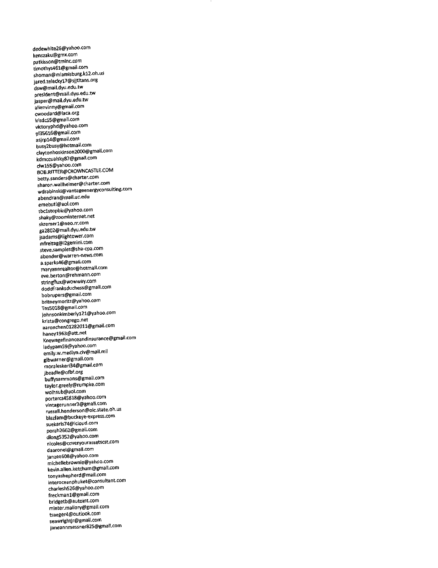dedewhite26@yahoo.com kenszaku@gmx.com patkisson@tminc.com timothys46l@gmail.com shoman@miamisburg.kl2.oh.u5 jared.telecky17@sjjtitans.org dsw@mail.dyu.edu.tw president@mail.dyu.edu.tw jasper@mail.dyu.edu.tw alienvinny@gmail.com cwoodard@laca.org irisdc55@gmail.com victoryphd@yahoo.com pl356l6@gmail.com asjrpl4@gmail.com bu5Y2busY@hotmail.com claytonhoskinson2000@gmail.com kdmccualsky87@gmail.com clwl55@yahoo.com BOB.RITTER@CROWNCASTLE.COM betty.sanders@charter.com sharon.wallheimer@charter.com wdrabinski@vantageenergyconsulting.com abendran@mail.uc.edu emebutl@aol.com tbclstopbiz@yahoo.com shaky@zoominternet.net skremerl@neo.rr.com ga2802@mall.dyu.edu.tw jsadams@lightower.com mfreltag@i2gemini.com steve.samples@sha-cpa.com abender@warren-news.com a.sparks46@gmail.com maryannrealtor@hotmail.com eve.berton@rehmann.com stringflux@wowwaY.cQm doddfranksduchess@gmail.com bobrupers@gmail.com britneymoritz@yahoo.com Tns5018@gmail.com johnsonkimberlyl21@yahoo.com krista@congrego.net aaronchen01282011@gmail.com haneyl963@att.net Knewagefinanceandinsurance@gmail.com ladypam59@yahoo.com emily.w.medlyn.civ@mail.mil glbwarner@gmail.com moraleskert34@gmail.com jbeadle@ofbf.org buffysammons@gmail.com taylor.greely@rumpke.com wolhsub@aol.com portercs45818@yahoo.com vintagerunner3@gmaii.com russell.henderson@olc.state.oh.us blazfam@buckeYe-express.com suekaris74@icloud.com porah2662@gmail.com dlong5352@yahoo.com nicoles@covervourassetscst.com daaronel@gmail.com janiee608@Yahoo.com michellebrownie@yahoo.com kevin.aUen.ketchum@gmail.com tonyashepherd@mail.com interoceanphuket@consultant.com charleshS26@vahoo.com freckmanl@gmail.com bridgetb@autoint.com minter.mallory@gmail.com tsaeger4@outlook.com seawrightjr@gmail.com janeannmessnef825@gmail.com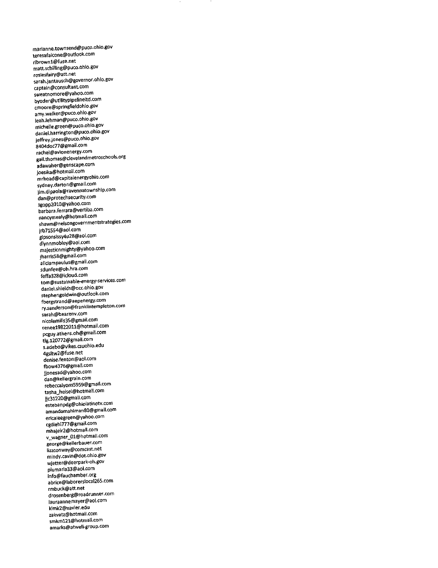marianne.townsend@puco.ohio.gov teresafalcone@outlook.com ribrownl@fuse.net matt.schilling@puco.ohio.gov rosiesfairy@att.net sarah.jantausch@governor.ohio.gov captain@consultant.com sweatnomore@yahoo.com byoder@utilitypipelineltd.com cmoore@springfieldohio.gov amy.walker@puco.ohio.gov leah.lehman@puco.ohio.gov michelle.green@puco.ohio.gov daniei.harrington@puco.ohio.gov jeffrey.jones@puco.ohio.gov 8404doc77@gmail.com rachel@avionenergy.com gail.thomas@clevelandmetroschools.org adawaher@genscape.com joesika@hotmail.com mrhoad@capitalenergyohio.com sydney.darton@gmail.com jim.dipaola@ravennatownship.com dan@protechsecurity.com igopp2010@vahoo.com barbara.ferrara@vertiba.com nancymealy@hotmail.com shawn@nelsongovernmentstrategies.com jrb71554@aol.com gipsonslssy4u28@aol.com dlynnmobley@aol.com majesticnmighty@yahoo.com jharris58@gmail.com aliciampaulus@gmail.com sdunfee@oh.hra.com feffa328@lcioud.com tom@sustainable-energy-services.com daniel.shields@occ.ohio.gov stephengoldwin@outlook.com fbergstrand@aepenergy.com ry.sanderson@franklintempleton.com sarah@bearenv.com nicolemills35@gmail.com reneel9822011@hotmail.com pcguy.athens.oh@gmail.com tlg.120772@gmail.com s.adebo@vikes.csuohio.edu 4gsitw2@fuse.net denise.fenton@aol.com fbow4376@gmall.com jjonesad@Yahoo.com dan@kellergrain.com rebeccalyons5959@gmail.com tasha\_heisel@hotmail.com jjc31220@gmail.com estebanpdg@ohiolatinotv.com amandamahlman80@gmail.com ericaleegreen@yahoo.com cgdiehl777@gmail.com mhajeir2@hotmail.com V wagner\_01@hotmail.com george@kellerbauer.com lizzconwaY@comcast.net mindy.cavln@dot.ohio.gov wjetter@deerpark-oh.gov plumaria33@aol.com info@fauchamber.org abrice@laborerslocal265.com rmbuck@att.net drosenberg@roadrunner.com lauraannemayer@aol.com kimk2@xavier.edu zakvatz@hotmail.com smkm121@hotmail.com amafks@atwell-group.com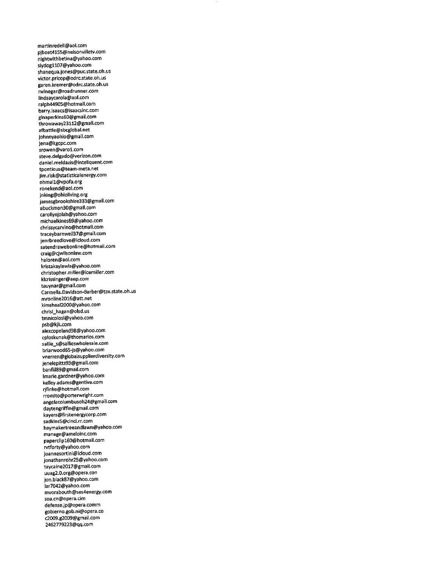martinredell@aol.com pjboat4155@nelsonvilletv.com nightwithbetina@yahoo.com slydogll07@yahoo.com shanequa.jones@puc.state.oh.us victor.pricop@odrc.state.oh.us garen.kremer@odrc.state.oh.us rwinegar@roadrunner.com lindsaycarola@aol.com ralph44905@hotmail.com barry.isaacs@isaacsinc.com ginaperkins60@gmail.com throwaway23112@gmail.com afbattle@sbcglobal.net johnnyaohio@gmail.com jena@kgcpc.com srowen@varol.com steve.delgado@verizon.com daniel.meldazis@inteliquent.com tpontious@team-meta.net jim.risk@statisticalenergy.com ohmall@vpofa.org ronekend@aoi.com jnking@ohioliving.org jamesgbrookshire333@gmail.com abuckmon30@gmail.com carollynjolah@yahoo.com michaelkines\$9@yahoo.com chrissycarvino@hotmail.com traceybarnwell37@gmail.com jenrbreediove@icioud.com satendrawebonline@hotmaii.com craig@cjwilsonlaw.com haloren@aol.com kristakaylewis@yahoo.com christopher.miller@icemiller.com klcrissinger@aep.com tauynar@gmail.com Carmella.Davidson-Barber@tax.state.oh.us mronline2016@att.net kimsheal2000@yahoo.com chrisi\_hagan@o!sd.us tmnicolosi@yahoo.com psb@kjk.com alexcopeland98@yahoo.com cploskunak@thomarios.com sallie\_s@sallieswholesale.com briarwood65-js@yahoo.com vnerren@globalsupplierdiverslty.com jenelepitts93@gmail.com banfill89@gmail.com lmarie.gardner@yahoo.com kelley.adams@gentiva.com rjfinke@hotmail.com rromito@porterwright.com angelacolumbusoh24@gmail.com daytengriffin@gmail.com kayers@firstenergycorp.com sadkins5@cinci.rr.com haymakertreeandlawn@yahoo.com manage@ameloinc.com paperclipl60@hotmail.com rvtforty@yahoo.com joannesortini@icloud.com jonathanrohr25@yahoo.com taycaine2017@gmail.com uuag2.0.org@opera.con jon.black87@yahoo.com lar7042@yahoo.com mvorabouth@ses4energy.com soa.cn@opera.cim defense.jp@opera.comm gobierno.gob.ni@opera.co C2009.g2009@gmail.com 2462779223@qq.com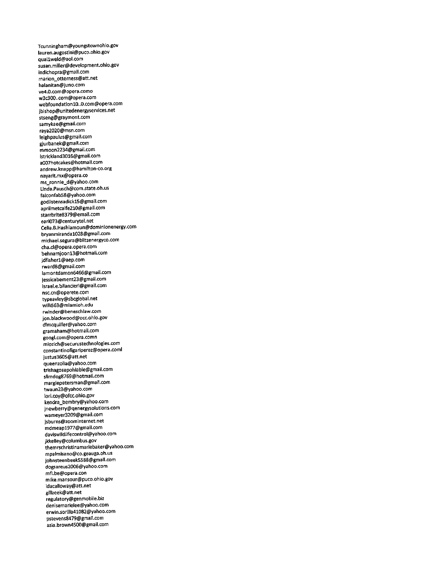Tcunningham@youngstownohio.gov lauren.augostini@puco.ohio.gov quallweld@aol.com susan.milter@development.ohio.gov indichopra@gmail.com marion\_otterness@att.net halanitan@juno.com ve4.0.com@opera.como w3c300..com@opera.com webfoundationlO..O.com@opera.com jbishop@unitedenergyservices.net stseng@graymont.com samykae@gmail.com raya2020@msn.com leighpauius@gmail.com gjurbanek@gmail.com mmoon2234@gmail.com Istrickland3016@gmail.com a007hotcakes@hotmail.com andrew.knapp@hamilton-co.org nayarit.mx@opera.co ms\_ronnie\_d@yahoo.com Linda.Pausch@com.state.oh.us falconfab58@yahoo.com godlistensadickl5@gmaii.com aprilmetcalfe210@gmail.com starrbrite8379@email.com earl073@centurytel.net Celia.B.Hashlamoun@dominionenergy.com bryanmirandal028@gmail.com michael.segura@blitzenergyco.com cha.cl@opera.opera.com behnamjoonl3@hotmail.com jdfisherl@aep.com rward8@gmail.com lamontdamon6466@gmail.com jessicabement23@gmail.com israel.e.bilancieri@gmail.com nsc.cn@operete.com typeavley@sbcglobal.net willi563@miamioh.edu rwinder@beneschlaw.com ion.blackwood@occ.ohio.gov dlmcquiller@yahoo.com gramaham@hotmail.com googl.com@opera.comn mlozich@securustechnologies.com constantinofigariperez@opera.coml justus3605@att.net queenzolia@yahoo.com trishagosepohlable@gmail.com slimdog8769@hotmail.com margiepetersman@gmail.com twaun23@yahoo.com lori.coy@ofcc.ohio.gov kendra\_bembrY@yahoo.com jnewberry@qenergysolutions.com wameyer3209@gmail.com jsburns@zoominternet.net mdmeapl977@gmail.com daviswlldlifecontrol@yahoo.com jkkelley@columbus.gov themrschristinamariebaker@yahoo.com mpalmisano@co.geauga.oh.us johnsteenbeek5588@gmail.com dogsareus2006@yahoo.com mfi.be@opera.con mike.mansour@puco.ohio.gov idacalloway@att.net gilizeek@att.net regulatory@genmobile.biz denisemarielee@yahoo.com erwin.sorilla41082@yahoo.com pstevens8479@gmail.com asia.brown4500@gmail.com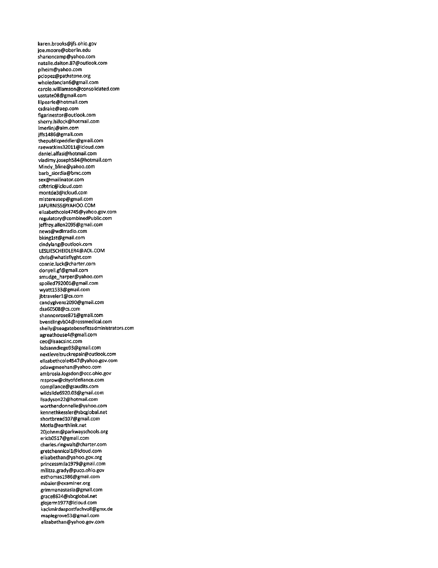karen.brooks@jfs.ohio.gov joe.moore@oberlin.edu sharioncamp@yahoo.com natalie.dalton.87@outlook.com plheim@yahoo.com pclopez@pathstone.org wholedanclan6@gmail.com carole.williamson@consolidated.com usstate08@gmail.com iilpearle@hotmail.com csdrake@aep.com figarinestor@outlook.com sherry.hillock@hotmail.com lmerlinj@aim.com jffsl486@gmail.com thepublicpeddler@gmail.com raewatkins32011@icloud.com daniel.alfasi@hotmail.com vladimy.josephS84@hotmail.com Mindy\_bline@yahoo.com barb\_siordia@bmc.com sex@mailinator.com cdbtric@icloud.com montde3@icloud.com mistereasep@gmail.com JAFURN1SS@YAH00.COM elizabethcole4745@yahoo.gov.com regulatory@combinedPublic.com jeffrey.allen2095@gmail.com news@wdlrradio.com bkinglst@gmail.com cindylang@outlook.com LESLIESCHEIDLER4@AOL.COM chris@whatisflyght.com connie.luck@charter.com donyell.gf@gmail.com smudge\_harper@yahoo.com spoiled792001@gmail.com wyattl533@gmail.com jbtravelerl@cs.com candygivens2090@gmaii.com dsa60508@cs.com shannonrose871@gmail.com bventiingvb04@ro5smedical.com shelly@seagatebenefitsadministrators.com agreathouse4@gmail.com ceo@isaacsinc.com lsdsanndiego93@gmail.com nextleveltruckrepair@outlook.com elizabethcole4547@yahoo.gov.com pdawgmeehan@yahoo.com ambrosia.logsdon@occ.ohio.gov msprow@cityofdefiance.com compliance@gsaudits.com wildslide6920.03@gmail.com iisadyson22@hotmail.com worthendonnelle@yahoo.com kennethkessler@sbcglobai.net shortbreadl07@gmail.com Motla@earthlink.net 20johnm@parkwayschoois.org ericb0517@gmail.com charles.ringwalt@charter.com gretchennicoll@icioud.com elizabethan@yahoo.gov.org princessmllal979@gmail.com militza.grady@puco.ohio.gov esthomasl986@gmail.com mbaier@examiner.org grimmanastasia@gmail.com grace8624@sbcglobal.net glojerml977@icloud.com kackmirdaspostfachvoll@gmx.de mapiegrove53@gmail.com elizabethan@yahoo.gov.com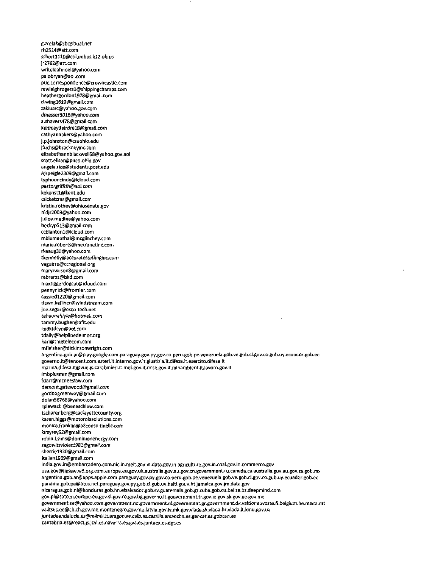rh2514@att.com sshort1110@columbus.k12.oh.us jr2762@att.com writeleahnoel@yahoo.com palobryan@aol.com puc.correspondence@crowncastle.com rawleighrogers1@shippingchamps.com heathergordonl978@gmail.com d.wingl619@gmail.com zakiussc@yahoo.gov.com dmesser3016@yahoo.com a.shavers478@gmail.com keithleydeirdrel8@gmail.com cathyannakers@yahoo.com j.p.johnston@csuohio.edu jfuchs@brackneyinc.com elizabethannblackwell58@yahoo.gov.aol scott.elisar@puco.ohio.gov angela.rice@students.post.edu Ajspeigle2309@gmail.com typhooncindy@icloud.com pastorgriffith@aol.com kekenstl@kent.edu cricketcms@gmail.com kristin.rothey@ohiosenate.gov nldjr2003@yahoo.com juiiov.medina@yahoo.com beckyp513@gmail.com ccblantonl@icloud.com mblumenthai@mcgiinchey.com maria.roberts@metronetinc.com rkeaug30@yahoo.com tkennedy@accuratestaffinginc.com vaguirre@ccregional.org maryrwilson8@gmail.com rabrams@bkd.com maxtiggerdogcat@icloud.com pennynick@frontier.com cassiedl220@gmail.com dawn.kelliher@windstream.com joe.segar@esco-tech.net tahaunahlyie@hotmail.com tammy.bugher@afit.edu cadktdcyn@aol.com tdaily@helplinedelmor.org kari@tmgtelecom.com mfleisher@dickinsonwright.com argentina.gob.ar@play.google.com.paraguay.gov.py.gov.co.peru.gob.pe.venezuela.gob.ve.gob.cl.gov.co.gub.uy.ecuador.gob.ee governo.it@tencent.com.esteri.lt,interno.gov.it.giustizia.it.difesa.it.esercito.difesa.it marina.difesa.it@vue.js.carabinieri.it.mef.gov.it.mise.gov.it.minambient.it.lavoro.gov.it lmbplusmm@gmail.com fdarr@mcneeslaw.com damont.gatewood@gmail.com gordongreenway@gmail.com dolan56768@yahoo.com rpiewacki@beneschlaw.com tscharenberg@cacfayettecounty.org karen.higgs@motorolasolutions.com monlca.franklin@a3consultingllc.com kirsyreyS2@gmail.com robin.l.sims@dominionenergy.com sagowitzvioletl981@gmail.com sherriel920@gmail.com itaiianl969@gmail.com india.gov.in@embarcadero.com.nic.in.meit.gov.in.data.gov.in.agriculture.gov.in.coal.gov.in.commerce.gov usa.gov@jigsaw.w3.org.com.europe.eu.gov.uk.australia.gov.au.gov.cn.government.ru.canada.ca.australia.gov.au.gov.za.gob.mx argentina.gob.ar@apps.apple.com.paraguay.gov.py.gov.co.peru.gob.pe.venezuela.gob.ve.gob.cl.gov.co.gub.uy.ecuador.gob.ee panama.gob.pa@atos.net.paraguay.gov.py.gob.cl.gub.uy.haiti.gouv.ht.jamaica.gov.jm.data.gov nicaragua.gob.ni@honduras.gob.hn.elsalvador.gob.sv.guatemala.gob.gt.cuba.gob.cu.beiize.bz.deepmind.com gov.pl@satcen.europe.eu.gov.sl.gov.ro.gov.bg.governo.it.gouvernment.fr.gov.ie.gov.sk.gov.ee.gov.me government.se@yahoo.com.government.no.government.nl.govemment.gr.government.dk.valtioneuvoste.fi.belgfum.be.malta.mt valitsus.ee@ch.ch.gov.me.montenegro.gov.me.latvia.gov.lv.mk.gov.vlada.sk.vlada.hr.vlada.lt.kmu.gov.ua juntadeandalucia.es@milmil.it.aragon.es.caib.es.castillalamancha.es.gencat.es.gobcan.es cantabria.es@react.js.jcyl.es.navarra.es.gva.es.juntaex.es.dgt.es

g.zrelak@sbcglobal.net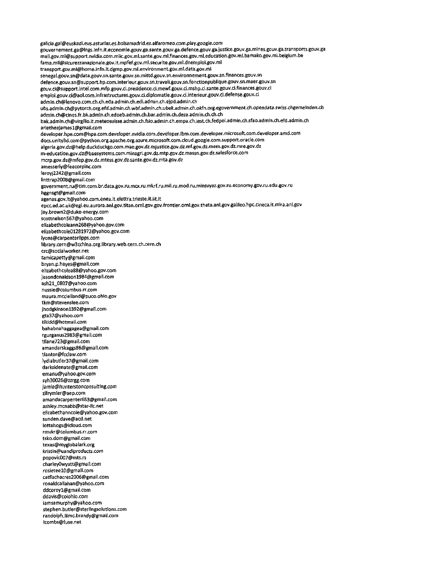galicia.gal@euskadi.eus.asturias.es.bolsamadrid.es.alfaromeo.com.play.google.com gouvernement.ga@lngs.infn.it.economie.gouv.ga.sante.gouv.ga.defence.gouv.ga.justice.gouv.ga.mines.gouv.ga.transports.gouv.ga tnali.gov.ml@support.nvidia.com.miic,gov.ml.sante.gov.nil.finances.gov.ml.education.gov.ml.bamako.gov.ml.belgium.be fama.mil@sicurezzanazionale.gov.it.mpfef.gov.ml.securite.gov.ml.dnemploi.gov.ml transport.gov.ml@home.infn.itdgmp.gov.ml.environment.gov.ml.data.gov.ml senegal.gouv.sn@data.gouv.sn.sante.gouv.sn.mittd.gouv.sn.environnement.gouv.sn.finances.gouv.sn defence.gouv.sn@support.hp.com.interieur.gouv.sn.travail.gouv.sn.fonctionpublique.gouv.sn.maer.gouv.sn gouv.ci@support.intel.com.mfp.gouv.ci.presidence.ci.mewrf.gouv.ci.mshp.d.sante.gouv.ci.finances.gouv.ci emploi.gouv.ci@aol.com.infrastructures.gouv.ci.diplomatie.gouv.ci.interieur.gouv.ci,defense.gouv.ci admin.ch@lenovo.com.ch.ch.eda.admin.ch.edi.admin.ch.ejpd,admln.ch ubs.admin.ch@pytorch.org.efd.admin.ch.wbf.admin.ch.ubek.admin.ch.okfn.org.egovernment.ch.opendata.swiss.chgemeinden.ch admin.ch@cines.fr.bk.admin.ch.edoeb.admin.ch.bar.admin.ch.deza.admin.ch.ch.ch bak.admin.ch@virgilio.it.meteosuisse.admin.ch.fsio.admin.ch.empa.ch.iestch.fedpol.admin.ch.sfao.admin.ch.efd.admin.ch arletheajames1@gmail.com developer.hpe.com@hpe.com.developer.nvidia.com.developer.ibm.com.developer.microsoft.com.developer.amd.com docs.unity3d.com@python.org.apache.org.azure.microsoft.com.cloud.google.com.support.oracle.com algeria.gov.dz@help.duckduckgo.com.mae.gov.dz.mjustice.gov.dz.mf.gov.dz.mem.gov.dz.mre.gov.dz m-education.gov.dz@baesystems.com.minagri.gov.dz.mtp.gov.dz.massn.gov.dz.salesforce.com mcrp.gov.dz@mfep.gov.dz.mtess.gov.dz.sante.gov.dz.mta.gov.dz amesserly@feecorpinc.com Ieroyj2242@gmail.com Iinttrap2008@gmail.com government.ru@tim.com.br.data.gov.ru.mcx.ru.mkrf.ru.mil.ru.mod.ru.minsvyaz.gov.ru.economy.gov.ru.edu.gov.ru heensgt@gmail.com agenas.gov.it@yahoo.com.enea.it.elettra.trieste.it.iit.it epcc.ed.ac.uk@egi.eu.aurora.anl.gov.titan.ornl.gov.gov.frontier.ornl.gov.theta.anl.gov.galileo.hpc.cineca.it.mira.anl.gov jay.brown2@duke-energy.com scottnelson567@yahoo.com elizabethcoleann268@yahoo.gov.com elizabethcole01281972@yahoo.gov.com lyons@carpenterlipps.com library.cern@w3cchina.org.library.web.cern.ch.cern.ch crc@socialworker.net tamicapetty@gmail.com bryan.p.hayes@gmail.com elizabethcolea88@yahoo.gov.com jasondonaldsonl984@gmail.com ash21\_0807@yahoo.com nussle@columbus.rr.com maura.mcclelland@puco.ohio.gov tkm@stevenslee.com jhodgkinsonl392@gmai1.com gta37@yahoo.com tlkidd@h0tm3il.com bahabnahaggagea@gmail.com rgurganus2983@gmail.com tllane723@gmail.com amandarskaggs86@gmail.com tlantor@fcclaw.com Iydiabutler37@gmail.com darksidenate@gmail.com emanu@yahoo.gov.com syh30026@zzrgg.com jamie@tiunterstonconsulting,com zlfrymier@aep.com amandacarpenter6S3@gmai1.com ashiey.mcnabb@star-llc.net elizabethanncoie@yahoo.gov.com sunden.dave@acd.net lottahogs@icloud.com rmvkr@columbus.rr.com tsko.dom@gmail.com texas@myglobalark.org kristin@uandiproducts.com popovic007@mts.rs charleyOwyatt@gmail.com rosieteelO@gmall.com catfischacres2006@gmail.com ronaldcallahan@yahoo.com ddcoreyl@gmail.com ddavis@coiohio.com iamsamurphy@yahoo.com stephen.butler@sterlingsolutions.com randolph.(i(mc.branciy@gmai(.com lcombs@fuse.net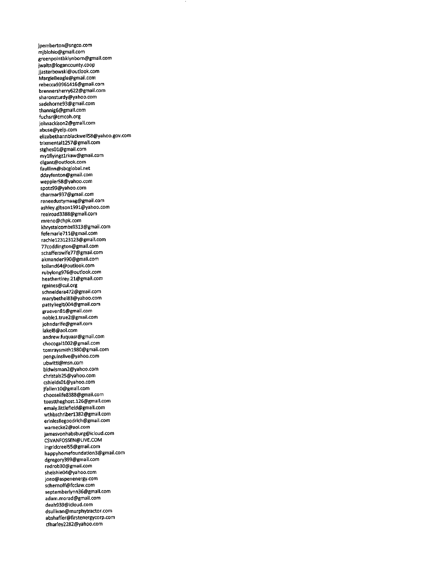jpemberton@sngco.com mjblohio@gmail.com greenpointbklynborn@gmail.com jwaltz@logancounty.coop jjasterbowski@out1ook.com MargieBeagle@gmail.com rebecca93961416@gmail.com brennersherry622@gmail.com sharonsturdy@yahoo.com sadehorne93@gmail.com thannig6@gmail.com fuchsr@cmcoh.org johnackison2@gmail.com abuse@yelp.com elizabethannblackwell58@yahoo.gov.com trixmentall257@gmail.com stghes01@gmail.com mylflyingzlrkaw@gmail.com dlgant@outlook.com fauliinn@sbcglobal.net ddayfenton@gmail.com weppler58@yahoo.com spotz99@yahoo.com charmar937@gmail.com reneedustymaag@gmail.com ashley.gibsonl991@yahoo.com realroad3388@gmail.com mreno@chpk.com khrystalcombs9313@gmail.com fefemarie711@gmail.com rachiel23123123@gmail.com 77coddington@gmail.com schafferswife77@gmail.com akmander990@gmail.com tolland64@outlook.com rubylong976@outlook.com heathertirey.21@gmall.com rgaines@cul.org schneidera472@gmail.com marybethel83@yahoo.com pattyliegll004@gmail.com graeven81@gmail.com nobiel.true2@gmail.com johndarife@gmail.com lakel8@ao1.com andrew.fuquasr@gmail.com chocogall002@gmail.com tomraysmithl980@gmail.com penguinslive@yahoo.com ubwitti@msn.com bidwisman2@yahoo.com christals25@yahoo.com cshields01@yahoo.com jfallenl0@gmai1.com chooselife8388@gmail.com toasttheghost.126@gmail.com emaly.littlefleld@gmail.com wthbschriberl382@gmail.com erinlesliegoodrich@gmail.com warnecke2@aol.com jamesvonhabsburg@icloud.com CSVANFOSSEN@LIVE.COM ingridcreel55@gmail.com happyhomefoundation3@gmail.com dgregory399@gmail.com redrob30@gmail.com shelshie04@yahoo.com joeo@aspenenergy.com schernoff@fcclaw.com septemberlynn36@gmail.com adam.morad@gmail.com deah939@icloud.com dsullivan@murphytractor.com abshaffer@firstenergycorp.com cfhar1ey2282@yahoo.com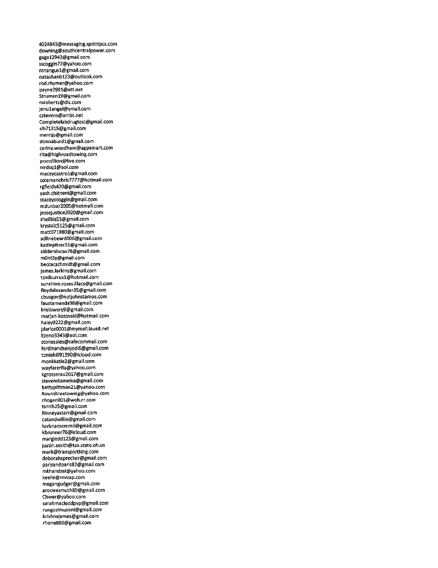4024943@messaging.sprintpcs.com downing@southcentralpower.com gagal2943@gmail.com sscoggin77@yahoo.com mnangusl@gmail.com natashanbl23@outlook.com rod.rhymer@yahoo.com payne2991@att.net Strumanl9@gmail.com mroberts@dlz.com jenulangel@ymaii.com cstevens@ambt.net Completelabdrugtest@gmail.com sih71315@gmail.com merrijo@gmail.com donnaburdl@gmaii.com carina.woodham@appsmart.com rita@highroadtowing.com prandilion@live.com mrdsql@aol.com maceycastrol@gmail.com colemanchris7777@hotmail.com rgfields420@gmaii.com yash.chitneni@gmail.com staceyscoggin@gmaii.com mdunbar2005@hotmail.com jessejustice2020@gmai1.com shellbiz53@gmaii.com krystalc5125@gmail.com matt071980@gmail.com adilnebeard006@gmail.com kadinpitzer31@gmail.com sidderslucas78@gmail.com m0nt3y@gmail.com beccacschmidt@gmail.com james.larkins@gmail.com toniburrusl@hotmail.com sunshine.roses.liIacs@gmail.com floydalexander35@gmail.com cbusgov@notjohnstamos.com faustamanda98@gmai1.com krisiowerv9@gmail.com marjan-kozovski@hotmaii.com haiey9222@gmail.com jdarios0001@mymail.lausd.net Ezeno3343@aol.com stonesales@safecommail.com ferdinandsenjodi6@gmail.com toniehii191390@icioud.com monkkatie2@gmaii.com wayfarerfla@yahoo.com kgrosserau2017@gmaii.com stevenstameika@gmail.com bettypittman21@yahoo.com Roundtreetowing@yahoo.com chogan001@woh.rr.com tsmth25@gmaii.com Rinneyastarr@gmail.com catandwillie@gmail.com iuvbnamommii@gmail.com kbrunner76@ic1oud.com margieddl23@gmaii.com justin.smith@tax.state.oh.us mark@transportking.com deb0r3hsprecker@gmaii.com parisandparis82@gmaii.com mkhandzei@yahoo.com keeiie@mvcap.com megangudger@gmail.com arocwasmuth89@gmaii.com Chwer@yahoo.com sarahmacleodpvp@gmail.com rungozimusoni@gmail.com krishnajames@gmaii.com rhone880@gmail.com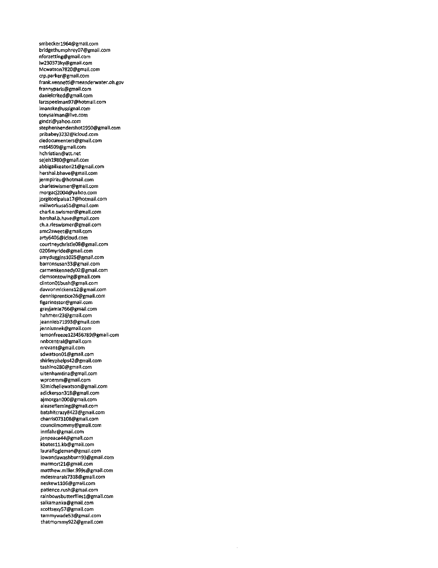smbecker1964@gmail.com bridgethumphrey07@gmail.com nforzetting@gmail.com Iw230373ky@gmail.com Mcwatson7820@gmail.com crp.parker@gmail.com frank.vennetti@meanderwater.oh.gov frannyparis@gmail.com danielcrited@gmail.com iarzspeeIman97@hotmail.com lmanske@ussignal.com tonysalman@live.com gindzl@yahoo.com stephenhendershotl950@gmaii.com pribabey3232@icloud.com cledocumenters@gmail.com mt64509@gmaii.com hchristian@att.net sejehl980@gmail.com abbigailkeaton21@gmail.com hershal.bhave@gmail.com jermpiritu@hotmail.com charieswismer@gmail.com morgacj2004@yahoo.com jorgitoelpaisal7@hotmail.com millworkusa51@gmail.com chari.e.swismer@gmaii.com hershaJ.b.have@gmai).com ch.a.rieswismer@gmail.com amc2sweet@gmaii.com arty6406@icloud.com courtneychristie08@gmail.com 0206myride@gmail.com amydugginsl025@gmail.com barronsusan33@gmail.com carmenkennedy02@gmail.com clemsontowing@gmaii.com clintonOlbush@gmail.com dawonmickensl2@gmail.com dennisprentice26@gmaii.com figarinestor@gmail.com grayjamie766@gmail.com hahmerr23@gmall.com jeannieb7l993@gmaii.com jennlusnek@gmail.com lemonfreezel23456789@gmail.com nnbcentral@gmail.com nrevant@gmail.com sdwatson01@gmail.com shirleyphelps42@gmail.com tashino280@gmail.com uitenhamtina@gmai1.com wproemm@gmail.com 32mlchellewatson@gmail.com adickerson318@gmaii.com ajmorgan000@gmaii.com aleasefleming@gmail.com batshitcrazy8423@gmail.com charris073108@gmail.com councilmommy@gmail.com innfahr@gmail.com jenpeace44@gmail.com kbatesll.kb@gmail.com 1auralfogleman@gmail.com lowandawashburn93@gmail.com marmort21@gmail.com matthew.miller.999s@gmail.com mdesmarais7318@gmail.com neskewll06@gmail.com patience.rush@gmail.com rainbowsbutterfliesl@gmail.com salkamanka@gmail.com scottsexy57@gmail.com tammywade53@gmail.com thatmommy922@gmail.com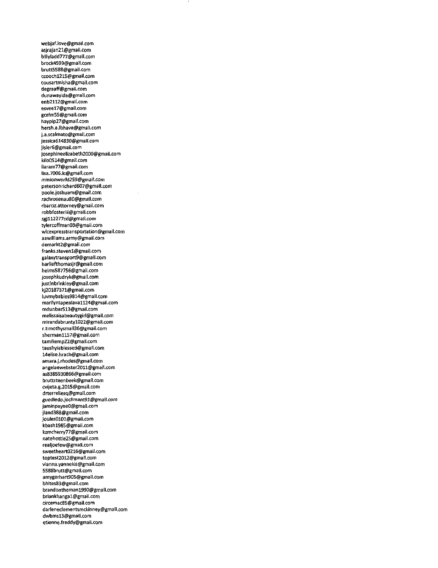webjaf.love@gmail.com asjrajan21@gmail.com billyladd777@gmail.com brock4599@gmail.com brutt5588@gmail.com ccoochl2l5@gmail.com cousartmisha@gmail.com degraaff@gmail.com dunawayida@gmail.com enb2112@gmail.com esveel7@gmail.com gcelm55@gmail.com haypip27@gmail.com hersh.a.lbhave@gmail.com j.a.scaimato@gmail.com jessica614830@gmail.com jisier6@gmail.com josephineelizabeth2000@gmail.com kilo0514@gmail.com liaram77@gmail.com lisa.7006.lc@gmail.com minionworld259@gmail.com petersonrichard607@gmail.com poole.joshuam@gmail.com rachrosenau80@gmail.com rbarciz.attorney@gmaii.com robbfosteriii@gmail.com sgjll2277cd@gmail.com tylercoffman03@gmail.com wlcexpresstransportation@gmail.com aawilliams.army@gmail.com demarkt2@gmail.com franks.stevenl@gmail.com galaxytransport9@gmail.com harliefthomasjr@gmail.com helms587756@gmail.com josephkudryk@gmaii.com justinbrinkley@gmail.com kj20187371@gmail.com luvmybabies9814@gmaii.com marilyntapealava1124@gmail.com mdunbar513@gmail.com melissaisabeautygirl@gmail.com mirandabruntyl022@gmall.com r.timothysmail36@gmail.com shermanll57@gmail.com tamlkemp22@gmall.com taushyiablessed@gmail.com 14elise.hrach@gmail.com amara.j.rhodes@gmaif.com angelaewebster2011@gmail.com as8385930866@gmail.com bruttsteenbeek@gmail.com cvijeta.g.2015@gmail.com drterrellesq@gmai1.com guediedo.jodimant91@gmaII.com jaminpayneO@gmail.com jland388@gmail.com joules0101@gmaii.com kbashl985@gmail.com kzmcherry77@gmail.com natehottie25@gmai1.com realjoefew@gmail.com sweetheart0216@gmail.com toptest2012@gmai1.com vianna.yannekis@gmaii.com 5588brutt@gmall.com amygerhart905@gmail.com bhites83@gmail.com brandonthemanl990@gmail.com briankhangal@gmail.com circemac85@gmail.com darleneclementsmckinney@gmail.com dwbmsl3@gmaii.com etienne.freddy@gmail.com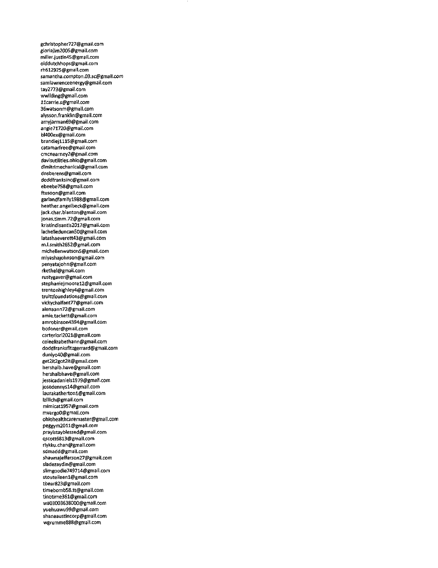gchristopher727@gmail.com *gloriajim2005@gmail.com* miller.justin45@gmail.com olddutchhops@gmail.com rh612925@gmail.com samantha.compton.03.sc@gmail.com samlawrenceenergy@gmail.com tay2773@gmail.com wwilding@gmail.com 11carrie.s@gmail.com 36watsonm@gmail.com alysson.franklin@gmail.com amyjarman69@gmail.com angie71720@gmail.com bl400ex@gmail.com brandiejlll5@gmail.com catamarfree@gmail.com cmcnearney2@gmail.com davisutilities.ohio@gmail.com dimitrimechanical@gmail.com dnsberens@gmail.com doddfranksinc@gmail.com ebeebe758@gmail.com ftusoon@gmail.com gar1andfamilyl988@gmail.com heather.angelbeck@gmal(.com jack.char.b1anton@gmaii.com jonas.timm.72@gmail.com kristindi5antis2017@gmail.com iache1leduncan50@gmail.com Iatashaeverett43@gmail.com m.l.smith2652@gmail.com michelienwatson5@gmaii.com miyashajohnson@gmail.com penyatajohn@gmai1.com rkethe1@gmaii.com rustygaver@gmaii.com stephaniejmoorel2@gmail.com trentonhighiey4@gmaii.com truittfoundations@gmail.com vickychalfant77@gmaii.com alenaann72@gmaii.com amie.tackett@gmail.com amrobinson4394@gmail.com bcdoner@gmaii.com carteriori2021@gmail.com coieeli2abethann@gmail.com doddfranksfitzgerrard@gmaii.com duniyo40@gmaii.com get2it2got2it@gmaii.com hershaib.have@gmail.com hershalbhave@gmail.com jes5icadanieisl979@gmai1.com josedennysl4@gmai1.com laurakathertoni@gmaii.com Izi1lich@gmaii.com mimicatl957@gmaii.com mvargoO@gmaii.com ohiohealthcaremaster@gmai1.com peggym2011@gmail.com prayistaybiessed@gmaii.com qscott6813@gmail.com riykku.chan@gmai1.com sdmadd@gmail.com shawnajefferson27@gmaiJ.com sladezaydin@gmaii.com s1imgoodie749714@gmaii.com stouteileen1@gmail.com tbear823@gmail.com timebomb58.tt@gmail.com tinotime361@gmai1.com wa03003638000@gmail.com yuehuawu99@gmail.com shaneaustincorp@gmai1.com wgrumme888@gmai1.com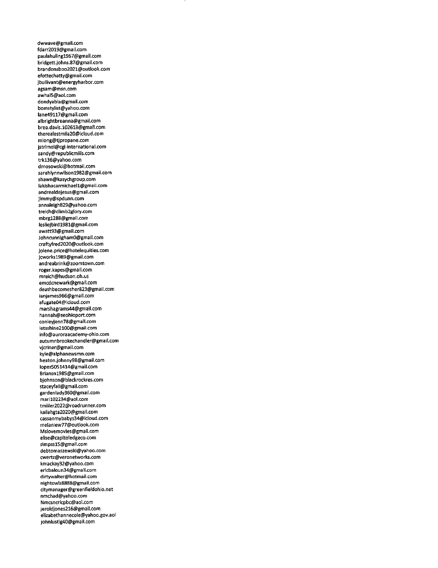dwwave@gmaii.com fdarr2019@gmail.com paulahulingl967@gmail.com bridgett.johns.87@gmail.com brandonsboo2021@outlook.com efottechatty@gmail.com jbullivant@energyharbor.com agsam@msn.com awhal5@aoi.com dondyabla@gmail.com bomstylist@yahoo.com Iane49117@gmail.com albrightbreanna@gmail.com brea.davis.102613@gmail.com therealestmila20@icloud.com mlong@tjpropane.com jstrimei@cgi-internationai.com sandy@repubiicmills.com trkl36@yahoo.com dmosowski@hotmail.com sarahiynnwiisonl982@gmail.com shawn@kasychgroup.com iakishacarmichaeil@gmail.com andrealdejesus@gmail.com jimmy@spdunn.com annaleigh829@yahoo.com treich@climb2glory.com mbrgl288@gmail.com Iesliejbirdl981@gmail.com awatt93@gmaii.com JohncunnighamO@gmail.com craftyfred2020@outiook.com jolene.price@hoteiequities.com jcworksl989@gmail.com andreabrink@zoomtown.com roger.kapes@gmaii.com mreich@hudson.oh.us emcdcnewark@gmaii.com deathbecomesher823@gmail.com ianjames966@gmaii.com afugate04@icloud.com marshagrams44@gmaii.com hannah@seohioport.com conleyjenn78@gmaii.com Ietsshine2100@gmail.com info@auroraacademy-ohio.com autumnbrookechandler@gmaii.com vjcriner@gmail.com kyle@aiphanewsmn.com heaton.johnny98@gmaii.com iopez5051414@gmaii.com Briansnl985@gmail.com bjohnson@blackrockres.com staceyfall@gmaii.com gardenlady360@gmail.com maril02234@aoi.com tmiller2022@roadrunner.com kailahgta2020@gmail.com cassanmybabys34@idoud.com melaniew77@outlook.com Mslovemovies@gmail.com eiise@capitoiedgeco.com simpssl5@gmaii.com debtomaszewski@yahoo.com cwertz@veronetworks.com kmackay32@yahoo.com ericbaioun34@gmaii.com dirtywaiter@hotmail.com nightowis8888@gmaii.com citymanager@greenfieldohio.net nmchad@yahoo.com Nmcsncrlcpbc@aoi.com jeroldjones216@gmail.com elizabethannecole@yahoo.gov.dol johnlustig40@gmaii.com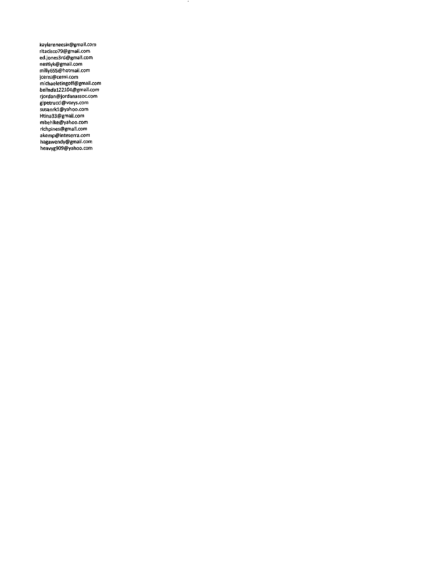kaylareneesix@gmail.com ritacisco79@gmail.com ed.jones3rd@gmail.com nestlyk@gmail.com milly655@hotmail.com jcerni@cerni.com michaeletingoff@gmail.com oeiinaa122104@gmail.com<br>rjordan@jordanassoc.com glpetrucci@vorys.com susanrkl@yahoo.com Htina33@gmail.com mbehlke@yahoo.com richpines@gmail.com akemp@inteserra.com hagawendy@gmail.com heavyg909@yahoo.com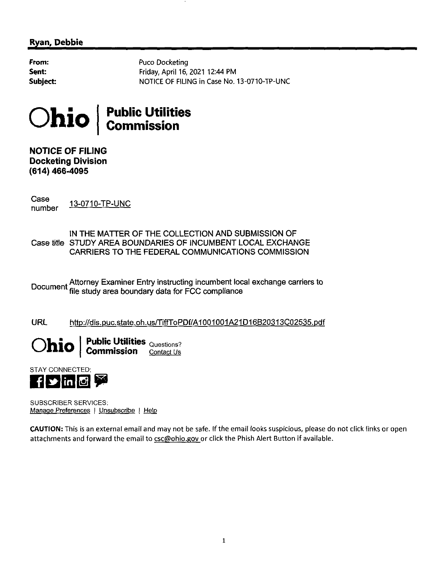# **Ryan, Debbie**

**From:** Sent: Subject: Puco Docketing Friday, April 16, 2021 12:44 PM NOTICE OF FILING in Case No. 13-0710-TP-UNC



NOTICE OF FILING Docketing Division (614) 466-4095

Case<br>number 13-0710-TP-UNC

IN THE MATTER OF THE COLLECTION AND SUBMISSION OF Case title STUDY AREA BOUNDARIES OF INCUMBENT LOCAL EXCHANGE CARRIERS TO THE FEDERAL COMMUNICATIONS COMMISSION

<sub>Document</sub> Attorney Examiner Entry instructing incumbent local exchange carriers to ocument file study area boundary data for FCC compliance

URL http://dis.puc.state.oh.us/TiffToPDf/A1001001A21D16B20313C02535.pdf

 $\textbf{Chio} \mid \textbf{Fubic Utilities}_{\textbf{Commission}}$ 

STAY CONNECTED: **FD** in **G** 

SUBSCRIBER SERVICES; Manage Preferences <sup>|</sup> Unsubscribe <sup>|</sup> Help

CAUTION: This is an external email and may not be safe, (f the email looks suspicious, please do not click links or open attachments and forward the email to csc@ohio.gov or click the Phish Alert Button if available.